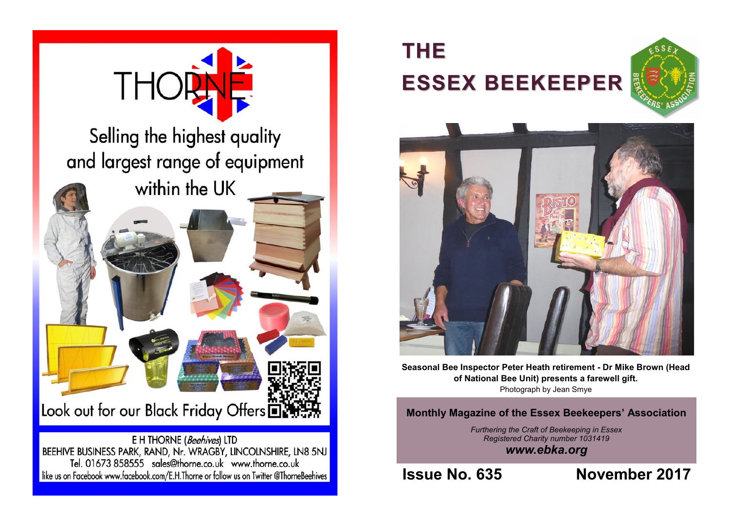

## **THE ESSEX BEEKEEPER**





**Seasonal Bee Inspector Peter Heath retirement - Dr Mike Brown (Head of National Bee Unit) presents a farewell gift.**  Photograph by Jean Smye

**Monthly Magazine of the Essex Beekeepers' Association**

*Furthering the Craft of Beekeeping in Essex Registered Charity number 1031419 www.ebka.org*

**Issue No. 635 November 2017**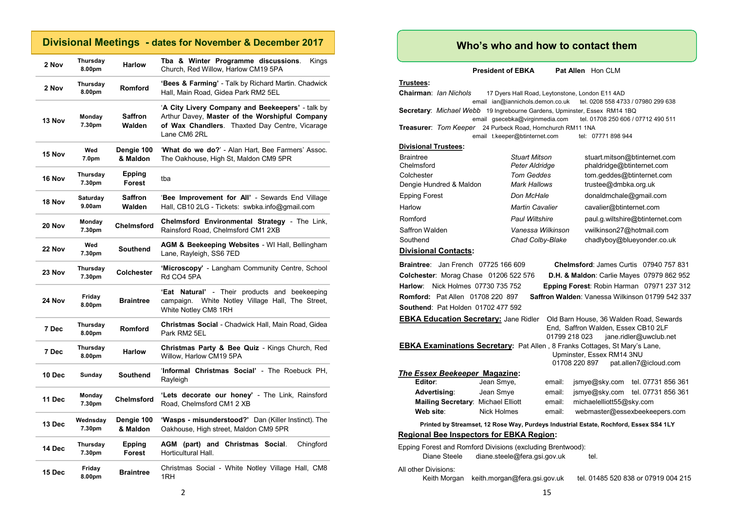## **Divisional Meetings - dates for November & December 2017**

| 2 Nov  | Thursday<br>8.00pm       | <b>Harlow</b>            | Tba & Winter Programme discussions.<br>Kings<br>Church, Red Willow, Harlow CM19 5PA                                                                                  |  |
|--------|--------------------------|--------------------------|----------------------------------------------------------------------------------------------------------------------------------------------------------------------|--|
| 2 Nov  | Thursday<br>8.00pm       | <b>Romford</b>           | <b>'Bees &amp; Farming'</b> - Talk by Richard Martin. Chadwick<br>Hall, Main Road, Gidea Park RM2 5EL                                                                |  |
| 13 Nov | Monday<br>7.30pm         | <b>Saffron</b><br>Walden | 'A City Livery Company and Beekeepers' - talk by<br>Arthur Davey, Master of the Worshipful Company<br>of Wax Chandlers. Thaxted Day Centre, Vicarage<br>Lane CM6 2RL |  |
| 15 Nov | Wed<br>7.0 <sub>pm</sub> | Dengie 100<br>& Maldon   | 'What do we do?' - Alan Hart, Bee Farmers' Assoc.<br>The Oakhouse, High St, Maldon CM9 5PR                                                                           |  |
| 16 Nov | Thursday<br>7.30pm       | <b>Epping</b><br>Forest  | tba                                                                                                                                                                  |  |
| 18 Nov | Saturday<br>9.00am       | <b>Saffron</b><br>Walden | 'Bee Improvement for All' - Sewards End Village<br>Hall, CB10 2LG - Tickets: swbka.info@gmail.com                                                                    |  |
| 20 Nov | Monday<br>7.30pm         | <b>Chelmsford</b>        | <b>Chelmsford Environmental Strategy - The Link,</b><br>Rainsford Road, Chelmsford CM1 2XB                                                                           |  |
| 22 Nov | Wed<br>7.30pm            | <b>Southend</b>          | AGM & Beekeeping Websites - WI Hall, Bellingham<br>Lane, Rayleigh, SS6 7ED                                                                                           |  |
| 23 Nov | Thursday<br>7.30pm       | Colchester               | 'Microscopy' - Langham Community Centre, School<br>Rd CO4 5PA                                                                                                        |  |
| 24 Nov | Friday<br>8.00pm         | <b>Braintree</b>         | <b>'Eat Natural'</b> - Their products and beekeeping<br>White Notley Village Hall, The Street,<br>campaign.<br>White Notley CM8 1RH                                  |  |
| 7 Dec  | Thursday<br>8.00pm       | <b>Romford</b>           | Christmas Social - Chadwick Hall, Main Road, Gidea<br>Park RM2 5EL                                                                                                   |  |
| 7 Dec  | Thursday<br>8.00pm       | <b>Harlow</b>            | Christmas Party & Bee Quiz - Kings Church, Red<br>Willow, Harlow CM19 5PA                                                                                            |  |
| 10 Dec | Sunday                   | <b>Southend</b>          | 'Informal Christmas Social' - The Roebuck PH,<br>Rayleigh                                                                                                            |  |
| 11 Dec | Monday<br>7.30pm         | Chelmsford               | 'Lets decorate our honey' - The Link, Rainsford<br>Road, Chelmsford CM1 2 XB                                                                                         |  |
| 13 Dec | Wednsday<br>7.30pm       | Dengie 100<br>& Maldon   | 'Wasps - misunderstood?' Dan (Killer Instinct). The<br>Oakhouse, High street, Maldon CM9 5PR                                                                         |  |
| 14 Dec | Thursday<br>7.30pm       | Epping<br>Forest         | AGM (part) and Christmas Social.<br>Chingford<br>Horticultural Hall.                                                                                                 |  |
| 15 Dec | Friday<br>8.00pm         | <b>Braintree</b>         | Christmas Social - White Notley Village Hall, CM8<br>1RH                                                                                                             |  |

## **Who's who and how to contact them**

**President of EBKA** Pat Allen Hon CLM

**Trustees:**

**Chairman**: *Ian Nichols* 17 Dyers Hall Road, Leytonstone, London E11 4AD email ian@iannichols.demon.co.uk tel. 0208 558 4733 / 07980 299 638 **Secretary**: *Michael Webb* 19 Ingrebourne Gardens, Upminster, Essex RM14 1BQ email gsecebka@virginmedia.com tel. 01708 250 606 / 07712 490 511 **Treasurer**: *Tom Keeper* 24 Purbeck Road, Hornchurch RM11 1NA email t.keeper@btinternet.com tel: 07771 898 944 **Divis** 

|  |  |  |  | sional Trustees: |  |
|--|--|--|--|------------------|--|
|--|--|--|--|------------------|--|

| Braintree                  | <b>Stuart Mitson</b>                  | stuart.mitson@btinternet.com                           |
|----------------------------|---------------------------------------|--------------------------------------------------------|
| Chelmsford                 | Peter Aldridge                        | phaldridge@btinternet.com                              |
| Colchester                 | Tom Geddes                            | tom.geddes@btinternet.com                              |
| Dengie Hundred & Maldon    | Mark Hallows                          | trustee@dmbka.org.uk                                   |
| <b>Epping Forest</b>       | Don McHale                            | donaldmchale@gmail.com                                 |
| Harlow                     | <b>Martin Cavalier</b>                | cavalier@btinternet.com                                |
| Romford                    | <b>Paul Wiltshire</b>                 | paul.g.wiltshire@btinternet.com                        |
| Saffron Walden<br>Southend | Vanessa Wilkinson<br>Chad Colby-Blake | vwilkinson27@hotmail.com<br>chadlyboy@blueyonder.co.uk |
|                            |                                       |                                                        |

#### **Divisional Contacts:**

**Braintree**: Jan French 07725 166 609 **Chelmsford**: James Curtis 07940 757 831 **Colchester**: Morag Chase 01206 522 576 **D.H. & Maldon**: Carlie Mayes 07979 862 952 **Harlow**: Nick Holmes 07730 735 752 **Epping Forest**: Robin Harman 07971 237 312 **Romford:** Pat Allen 01708 220 897 **Saffron Walden**: Vanessa Wilkinson 01799 542 337 **Southend**: Pat Holden 01702 477 592 **EBKA Education Secretary:** Jane Ridler Old Barn House, 36 Walden Road, Sewards End, Saffron Walden, Essex CB10 2LF 01799 218 023 jane.ridler@uwclub.net **EBKA Examinations Secretary:** Pat Allen , 8 Franks Cottages, St Mary's Lane, Upminster, Essex RM14 3NU 01708 220 897 pat.allen7@icloud.com *The Essex Beekeeper* **Magazine: Editor**: Jean Smye, email: jsmye@sky.com tel. 07731 856 361 **Advertising**: Jean Smye email: jsmye@sky.com tel. 07731 856 361 **Mailing Secretary:** Michael Elliott email: michaelelliott55@sky.com **Web site**: Nick Holmes email: webmaster@essexbeekeepers.com **Printed by Streamset, 12 Rose Way, Purdeys Industrial Estate, Rochford, Essex SS4 1LY Regional Bee Inspectors for EBKA Region:**

Epping Forest and Romford Divisions (excluding Brentwood): Diane Steele diane.steele@fera.gsi.gov.uk tel. All other Divisions: Keith Morgan keith.morgan@fera.gsi.gov.uk tel. 01485 520 838 or 07919 004 215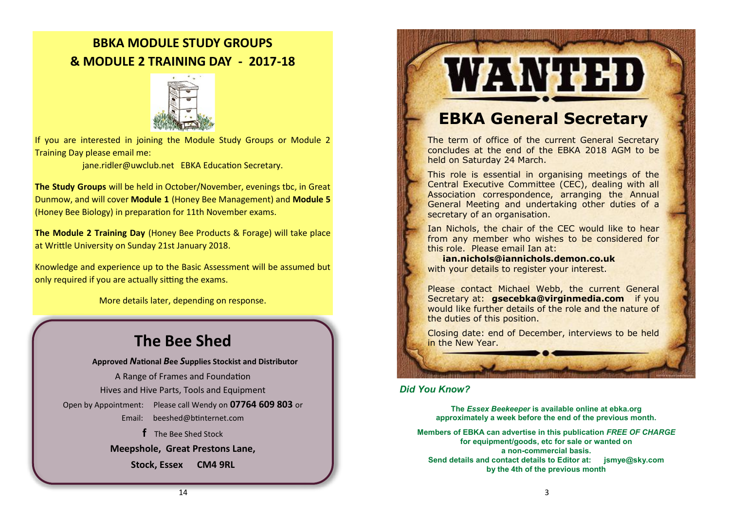## **BBKA MODULE STUDY GROUPS & MODULE 2 TRAINING DAY - 2017-18**



If you are interested in joining the Module Study Groups or Module 2 Training Day please email me:

[jane.ridler@uwclub.net](mailto:jane.ridler@uwclub.net) EBKA Education Secretary.

**The Study Groups** will be held in October/November, evenings tbc, in Great Dunmow, and will cover **Module 1** (Honey Bee Management) and **Module 5**  (Honey Bee Biology) in preparation for 11th November exams.

**The Module 2 Training Day** (Honey Bee Products & Forage) will take place at Writtle University on Sunday 21st January 2018.

Knowledge and experience up to the Basic Assessment will be assumed but only required if you are actually sitting the exams.

More details later, depending on response.

## **The Bee Shed**

**Approved** *N***ational** *B***ee** *S***upplies Stockist and Distributor** A Range of Frames and Foundation Hives and Hive Parts, Tools and Equipment Open by Appointment: Please call Wendy on **07764 609 803** or Email: [beeshed@btinternet.com](mailto:beeshed@btinternet.com)  **f** The Bee Shed Stock **Meepshole, Great Prestons Lane,** 

**Stock, Essex CM4 9RL**

# WANTED

## **EBKA General Secretary**

The term of office of the current General Secretary concludes at the end of the EBKA 2018 AGM to be held on Saturday 24 March.

This role is essential in organising meetings of the Central Executive Committee (CEC), dealing with all Association correspondence, arranging the Annual General Meeting and undertaking other duties of a secretary of an organisation.

Ian Nichols, the chair of the CEC would like to hear from any member who wishes to be considered for this role. Please email Ian at:

 **[ian.nichols@iannichols.demon.co.uk](mailto:ian.nichols@icloud.com)** with your details to register your interest.

Please contact Michael Webb, the current General Secretary at: **[gsecebka@virginmedia.com](mailto:gsecebka@virginmedia.com)** if you [would like further details of the role and the nature of](mailto:gsecebka@virginmedia.com)  [the duties of this position.](mailto:gsecebka@virginmedia.com)

[Closing date: end of December, interviews to be held](mailto:gsecebka@virginmedia.com)  [in the New Year.](mailto:gsecebka@virginmedia.com)

#### *Did You Know?*

**The** *Essex Beekeeper* **is available online at ebka.org approximately a week before the end of the previous month.**

**Members of EBKA can advertise in this publication** *FREE OF CHARGE*  **for equipment/goods, etc for sale or wanted on a non-commercial basis. Send details and contact details to Editor at: jsmye@sky.com by the 4th of the previous month**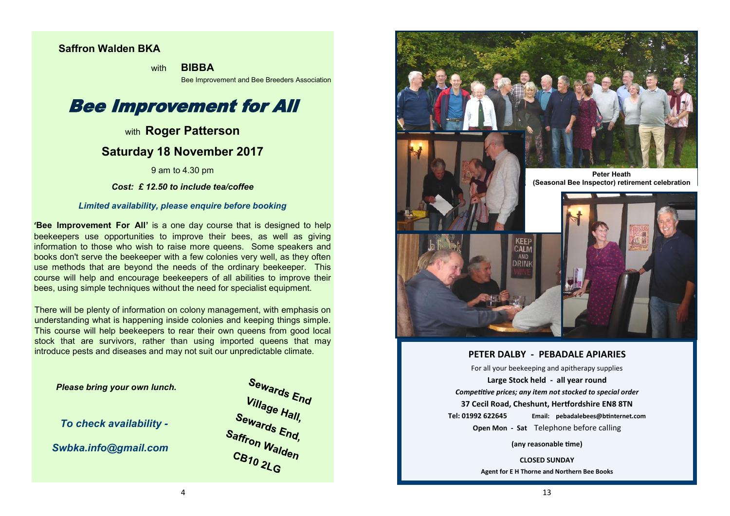## **Saffron Walden BKA**

with **BIBBA** 

Bee Improvement and Bee Breeders Association

## Bee Improvement for All

## with **Roger Patterson**

## **Saturday 18 November 2017**

9 am to 4.30 pm

## *Cost: £ 12.50 to include tea/coffee*

#### *Limited availability, please enquire before booking*

**'Bee Improvement For All'** is a one day course that is designed to help beekeepers use opportunities to improve their bees, as well as giving information to those who wish to raise more queens. Some speakers and books don't serve the beekeeper with a few colonies very well, as they often use methods that are beyond the needs of the ordinary beekeeper. This course will help and encourage beekeepers of all abilities to improve their bees, using simple techniques without the need for specialist equipment.

There will be plenty of information on colony management, with emphasis on understanding what is happening inside colonies and keeping things simple. This course will help beekeepers to rear their own queens from good local stock that are survivors, rather than using imported queens that may introduce pests and diseases and may not suit our unpredictable climate.

 *Please bring your own lunch.*

*To check availability -*

*Swbka.info@gmail.com*





#### **PETER DALBY - PEBADALE APIARIES**

For all your beekeeping and apitherapy supplies **Large Stock held - all year round** *Competitive prices; any item not stocked to special order* **37 Cecil Road, Cheshunt, Hertfordshire EN8 8TN Tel: 01992 622645 Email: pebadalebees@btinternet.com Open Mon - Sat** Telephone before calling

**(any reasonable time)**

**CLOSED SUNDAY Agent for E H Thorne and Northern Bee Books**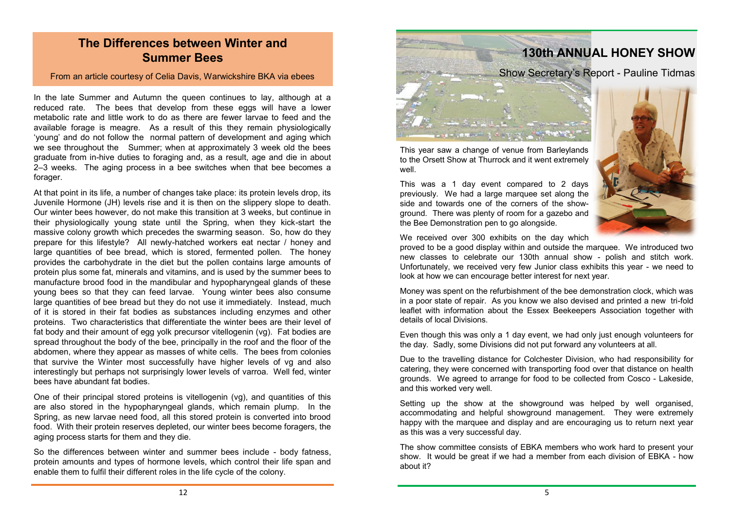## **The Differences between Winter and Summer Bees**

### From an article courtesy of Celia Davis, Warwickshire BKA via ebees

In the late Summer and Autumn the queen continues to lay, although at a reduced rate. The bees that develop from these eggs will have a lower metabolic rate and little work to do as there are fewer larvae to feed and the available forage is meagre. As a result of this they remain physiologically 'young' and do not follow the normal pattern of development and aging which we see throughout the Summer; when at approximately 3 week old the bees graduate from in-hive duties to foraging and, as a result, age and die in about 2–3 weeks. The aging process in a bee switches when that bee becomes a forager.

At that point in its life, a number of changes take place: its protein levels drop, its Juvenile Hormone (JH) levels rise and it is then on the slippery slope to death. Our winter bees however, do not make this transition at 3 weeks, but continue in their physiologically young state until the Spring, when they kick-start the massive colony growth which precedes the swarming season. So, how do they prepare for this lifestyle? All newly-hatched workers eat nectar / honey and large quantities of bee bread, which is stored, fermented pollen. The honey provides the carbohydrate in the diet but the pollen contains large amounts of protein plus some fat, minerals and vitamins, and is used by the summer bees to manufacture brood food in the mandibular and hypopharyngeal glands of these young bees so that they can feed larvae. Young winter bees also consume large quantities of bee bread but they do not use it immediately. Instead, much of it is stored in their fat bodies as substances including enzymes and other proteins. Two characteristics that differentiate the winter bees are their level of fat body and their amount of egg yolk precursor vitellogenin (vg). Fat bodies are spread throughout the body of the bee, principally in the roof and the floor of the abdomen, where they appear as masses of white cells. The bees from colonies that survive the Winter most successfully have higher levels of vg and also interestingly but perhaps not surprisingly lower levels of varroa. Well fed, winter bees have abundant fat bodies.

One of their principal stored proteins is vitellogenin (vg), and quantities of this are also stored in the hypopharyngeal glands, which remain plump. In the Spring, as new larvae need food, all this stored protein is converted into brood food. With their protein reserves depleted, our winter bees become foragers, the aging process starts for them and they die.

So the differences between winter and summer bees include - body fatness, protein amounts and types of hormone levels, which control their life span and enable them to fulfil their different roles in the life cycle of the colony.



This year saw a change of venue from Barleylands to the Orsett Show at Thurrock and it went extremely well.

This was a 1 day event compared to 2 days previously. We had a large marquee set along the side and towards one of the corners of the showground. There was plenty of room for a gazebo and the Bee Demonstration pen to go alongside.



We received over 300 exhibits on the day which

proved to be a good display within and outside the marquee. We introduced two new classes to celebrate our 130th annual show - polish and stitch work. Unfortunately, we received very few Junior class exhibits this year - we need to look at how we can encourage better interest for next year.

Money was spent on the refurbishment of the bee demonstration clock, which was in a poor state of repair. As you know we also devised and printed a new tri-fold leaflet with information about the Essex Beekeepers Association together with details of local Divisions.

Even though this was only a 1 day event, we had only just enough volunteers for the day. Sadly, some Divisions did not put forward any volunteers at all.

Due to the travelling distance for Colchester Division, who had responsibility for catering, they were concerned with transporting food over that distance on health grounds. We agreed to arrange for food to be collected from Cosco - Lakeside, and this worked very well.

Setting up the show at the showground was helped by well organised, accommodating and helpful showground management. They were extremely happy with the marquee and display and are encouraging us to return next year as this was a very successful day.

The show committee consists of EBKA members who work hard to present your show. It would be great if we had a member from each division of EBKA - how about it?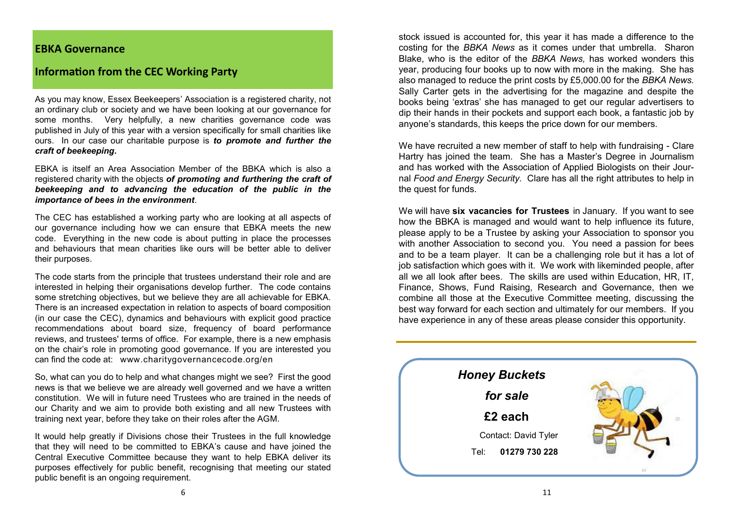## **EBKA Governance**

## **Information from the CEC Working Party**

As you may know, Essex Beekeepers' Association is a registered charity, not an ordinary club or society and we have been looking at our governance for some months. Very helpfully, a new charities governance code was published in July of this year with a version specifically for small charities like ours. In our case our charitable purpose is *to promote and further the craft of beekeeping***.** 

EBKA is itself an Area Association Member of the BBKA which is also a registered charity with the objects *of promoting and furthering the craft of beekeeping and to advancing the education of the public in the importance of bees in the environment*.

The CEC has established a working party who are looking at all aspects of our governance including how we can ensure that EBKA meets the new code. Everything in the new code is about putting in place the processes and behaviours that mean charities like ours will be better able to deliver their purposes.

The code starts from the principle that trustees understand their role and are interested in helping their organisations develop further. The code contains some stretching objectives, but we believe they are all achievable for EBKA. There is an increased expectation in relation to aspects of board composition (in our case the CEC), dynamics and behaviours with explicit good practice recommendations about board size, frequency of board performance reviews, and trustees' terms of office. For example, there is a new emphasis on the chair's role in promoting good governance. If you are interested you can find the code at: [www.charitygovernancecode.org/en](http://www.charitygovernancecode.org/en)

So, what can you do to help and what changes might we see? First the good news is that we believe we are already well governed and we have a written constitution. We will in future need Trustees who are trained in the needs of our Charity and we aim to provide both existing and all new Trustees with training next year, before they take on their roles after the AGM.

It would help greatly if Divisions chose their Trustees in the full knowledge that they will need to be committed to EBKA's cause and have joined the Central Executive Committee because they want to help EBKA deliver its purposes effectively for public benefit, recognising that meeting our stated public benefit is an ongoing requirement.

stock issued is accounted for, this year it has made a difference to the costing for the *BBKA News* as it comes under that umbrella. Sharon Blake, who is the editor of the *BBKA News,* has worked wonders this year, producing four books up to now with more in the making. She has also managed to reduce the print costs by £5,000.00 for the *BBKA News.*  Sally Carter gets in the advertising for the magazine and despite the books being 'extras' she has managed to get our regular advertisers to dip their hands in their pockets and support each book, a fantastic job by anyone's standards, this keeps the price down for our members.

We have recruited a new member of staff to help with fundraising - Clare Hartry has joined the team. She has a Master's Degree in Journalism and has worked with the Association of Applied Biologists on their Journal *Food and Energy Security.* Clare has all the right attributes to help in the quest for funds.

We will have **six vacancies for Trustees** in January. If you want to see how the BBKA is managed and would want to help influence its future, please apply to be a Trustee by asking your Association to sponsor you with another Association to second you. You need a passion for bees and to be a team player. It can be a challenging role but it has a lot of job satisfaction which goes with it. We work with likeminded people, after all we all look after bees. The skills are used within Education, HR, IT, Finance, Shows, Fund Raising, Research and Governance, then we combine all those at the Executive Committee meeting, discussing the best way forward for each section and ultimately for our members. If you have experience in any of these areas please consider this opportunity.

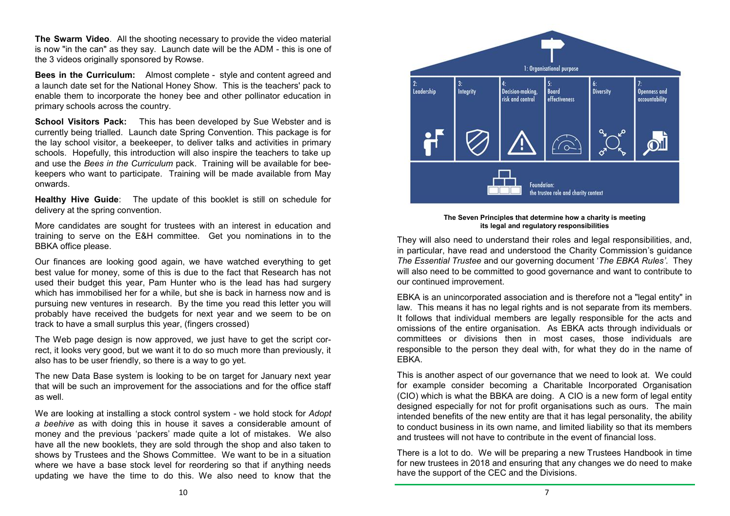**The Swarm Video**. All the shooting necessary to provide the video material is now "in the can" as they say. Launch date will be the ADM - this is one of the 3 videos originally sponsored by Rowse.

**Bees in the Curriculum:** Almost complete - style and content agreed and a launch date set for the National Honey Show. This is the teachers' pack to enable them to incorporate the honey bee and other pollinator education in primary schools across the country.

**School Visitors Pack:** This has been developed by Sue Webster and is currently being trialled. Launch date Spring Convention. This package is for the lay school visitor, a beekeeper, to deliver talks and activities in primary schools. Hopefully, this introduction will also inspire the teachers to take up and use the *Bees in the Curriculum* pack. Training will be available for beekeepers who want to participate. Training will be made available from May onwards.

**Healthy Hive Guide**: The update of this booklet is still on schedule for delivery at the spring convention.

More candidates are sought for trustees with an interest in education and training to serve on the E&H committee. Get you nominations in to the BBKA office please.

Our finances are looking good again, we have watched everything to get best value for money, some of this is due to the fact that Research has not used their budget this year, Pam Hunter who is the lead has had surgery which has immobilised her for a while, but she is back in harness now and is pursuing new ventures in research. By the time you read this letter you will probably have received the budgets for next year and we seem to be on track to have a small surplus this year, (fingers crossed)

The Web page design is now approved, we just have to get the script correct, it looks very good, but we want it to do so much more than previously, it also has to be user friendly, so there is a way to go yet.

The new Data Base system is looking to be on target for January next year that will be such an improvement for the associations and for the office staff as well.

We are looking at installing a stock control system - we hold stock for *Adopt a beehive* as with doing this in house it saves a considerable amount of money and the previous 'packers' made quite a lot of mistakes. We also have all the new booklets, they are sold through the shop and also taken to shows by Trustees and the Shows Committee. We want to be in a situation where we have a base stock level for reordering so that if anything needs updating we have the time to do this. We also need to know that the



**The Seven Principles that determine how a charity is meeting its legal and regulatory responsibilities**

They will also need to understand their roles and legal responsibilities, and, in particular, have read and understood the Charity Commission's guidance *The Essential Trustee* and our governing document '*The EBKA Rules'*. They will also need to be committed to good governance and want to contribute to our continued improvement.

EBKA is an unincorporated association and is therefore not a "legal entity" in law. This means it has no legal rights and is not separate from its members. It follows that individual members are legally responsible for the acts and omissions of the entire organisation. As EBKA acts through individuals or committees or divisions then in most cases, those individuals are responsible to the person they deal with, for what they do in the name of EBKA.

This is another aspect of our governance that we need to look at. We could for example consider becoming a Charitable Incorporated Organisation (CIO) which is what the BBKA are doing. A CIO is a new form of legal entity designed especially for not for profit organisations such as ours. The main intended benefits of the new entity are that it has legal personality, the ability to conduct business in its own name, and limited liability so that its members and trustees will not have to contribute in the event of financial loss.

There is a lot to do. We will be preparing a new Trustees Handbook in time for new trustees in 2018 and ensuring that any changes we do need to make have the support of the CEC and the Divisions.